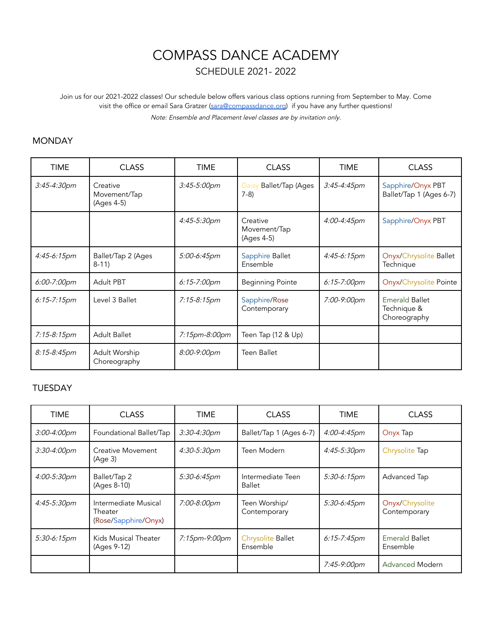# COMPASS DANCE ACADEMY

SCHEDULE 2021- 2022

Join us for our 2021-2022 classes! Our schedule below offers various class options running from September to May. Come visit the office or email Sara Gratzer [\(sara@compassdance.org](mailto:sara@compassdance.org)) if you have any further questions! Note: Ensemble and Placement level classes are by invitation only.

#### **MONDAY**

| <b>TIME</b>      | <b>CLASS</b>                           | TIME             | <b>CLASS</b>                           | <b>TIME</b>             | <b>CLASS</b>                                         |
|------------------|----------------------------------------|------------------|----------------------------------------|-------------------------|------------------------------------------------------|
| 3:45-4:30pm      | Creative<br>Movement/Tap<br>(Ages 4-5) | 3:45-5:00pm      | Ballet/Tap (Ages<br>Daisy<br>$7-8)$    | $3:45 - 4:45$ pm        | Sapphire/Onyx PBT<br>Ballet/Tap 1 (Ages 6-7)         |
|                  |                                        | 4:45-5:30pm      | Creative<br>Movement/Tap<br>(Ages 4-5) | 4:00-4:45pm             | Sapphire/Onyx PBT                                    |
| 4:45-6:15pm      | Ballet/Tap 2 (Ages<br>$8-11$           | 5:00-6:45pm      | Sapphire Ballet<br>Ensemble            | 4:45-6:15pm             | Onyx/Chrysolite Ballet<br>Technique                  |
| $6:00 - 7:00$ pm | <b>Adult PBT</b>                       | $6:15 - 7:00$ pm | <b>Beginning Pointe</b>                | $6:15 - 7:00 \text{pm}$ | Onyx/Chrysolite Pointe                               |
| $6:15 - 7:15$ pm | Level 3 Ballet                         | 7:15-8:15pm      | Sapphire/Rose<br>Contemporary          | 7:00-9:00pm             | <b>Emerald Ballet</b><br>Technique &<br>Choreography |
| 7:15-8:15pm      | <b>Adult Ballet</b>                    | 7:15pm-8:00pm    | Teen Tap (12 & Up)                     |                         |                                                      |
| 8:15-8:45pm      | Adult Worship<br>Choreography          | 8:00-9:00pm      | <b>Teen Ballet</b>                     |                         |                                                      |

#### TUESDAY

| <b>TIME</b>      | <b>CLASS</b>                                            | <b>TIME</b>   | <b>CLASS</b>                       | <b>TIME</b>      | <b>CLASS</b>                      |
|------------------|---------------------------------------------------------|---------------|------------------------------------|------------------|-----------------------------------|
| 3:00-4:00pm      | Foundational Ballet/Tap                                 | 3:30-4:30pm   | Ballet/Tap 1 (Ages 6-7)            | 4:00-4:45pm      | Onyx Tap                          |
| $3:30 - 4:00$ pm | <b>Creative Movement</b><br>(Age 3)                     | 4:30-5:30pm   | Teen Modern                        | 4:45-5:30pm      | Chrysolite Tap                    |
| 4:00-5:30pm      | Ballet/Tap 2<br>(Ages 8-10)                             | 5:30-6:45pm   | Intermediate Teen<br><b>Ballet</b> | 5:30-6:15pm      | Advanced Tap                      |
| $4:45 - 5:30pm$  | Intermediate Musical<br>Theater<br>(Rose/Sapphire/Onyx) | 7:00-8:00pm   | Teen Worship/<br>Contemporary      | 5:30-6:45pm      | Onyx/Chrysolite<br>Contemporary   |
| 5:30-6:15pm      | Kids Musical Theater<br>(Ages 9-12)                     | 7:15pm-9:00pm | Chrysolite Ballet<br>Ensemble      | $6:15 - 7:45$ pm | <b>Emerald Ballet</b><br>Ensemble |
|                  |                                                         |               |                                    | 7:45-9:00pm      | <b>Advanced Modern</b>            |